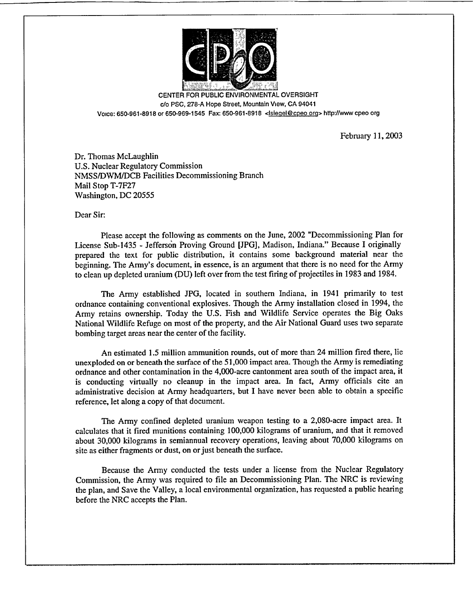

CENTER FOR PUBLIC ENVIRONMENTAL OVERSIGHT c/o PSC, 278-A Hope Street, Mountain View, CA 94041 Voice: 650-961-8918 or 650-969-1545 Fax: 650-961-8918 <Isieqel@cpeo orq> httpJ/www cpeo org

February 11, 2003

Dr. Thomas McLaughlin U.S. Nuclear Regulatory Commission NMSS/DWM/DCB Facilities Decommissioning Branch Mail Stop T-7F27 Washington, DC 20555

Dear Sir:

Please accept the following as comments on the June, 2002 "Decommissioning Plan for License Sub-1435 - Jefferson Proving Ground [JPG], Madison, Indiana." Because I originally prepared the text for public distribution, it contains some background material near the beginning. The Army's document, in essence, is an argument that there is no need for the Army to clean up depleted uranium (DU) left over from the test firing of projectiles in 1983 and 1984.

The Army established JPG, located in southern Indiana, in 1941 primarily to test ordnance containing conventional explosives. Though the Army installation closed in 1994, the Army retains ownership. Today the U.S. Fish and Wildlife Service operates the Big Oaks National Wildlife Refuge on most of the property, and the Air National Guard uses two separate bombing target areas near the center of the facility.

An estimated 1.5 million ammunition rounds, out of more than 24 million fired there, lie unexploded on or beneath the surface of the 51,000 impact area. Though the Army is remediating ordnance and other contamination in the 4,000-acre cantonment area south of the impact area, it is conducting virtually no cleanup in the impact area. In fact, Army officials cite an administrative decision at Army headquarters, but I have never been able to obtain a specific reference, let along a copy of that document.

The Army confined depleted uranium weapon testing to a 2,080-acre impact area. It calculates that it fired munitions containing 100,000 kilograms of uranium, and that it removed about 30,000 kilograms in semiannual recovery operations, leaving about 70,000 kilograms on site as either fragments or dust, on or just beneath the surface.

Because the Army conducted the tests under a license from the Nuclear Regulatory Commission, the Army was required to file an Decommissioning Plan. The NRC is reviewing the plan, and Save the Valley, a local environmental organization, has requested a public hearing before the NRC accepts the Plan.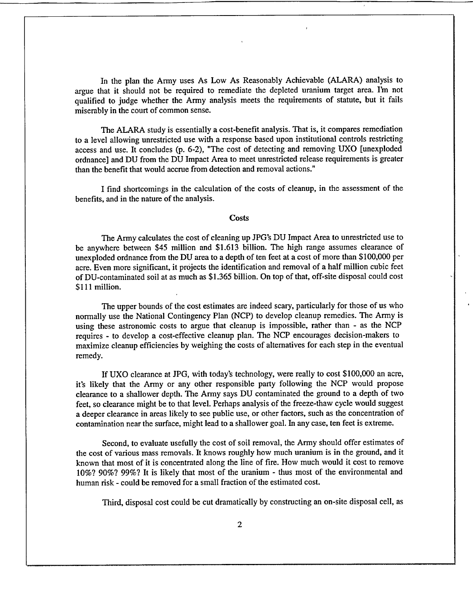In the plan the Army uses As Low As Reasonably Achievable (ALARA) analysis to argue that it should not be required to remediate the depleted uranium target area. I'm not qualified to judge whether the Army analysis meets the requirements of statute, but it fails miserably in the court of common sense.

The ALARA study is essentially a cost-benefit analysis. That is, it compares remediation to a level allowing unrestricted use with a response based upon institutional controls restricting access and use. It concludes (p. 6-2), "The cost of detecting and removing UXO [unexploded ordnance] and DU from the DU Impact Area to meet unrestricted release requirements is greater than the benefit that would accrue from detection and removal actions."

I find shortcomings in the calculation of the costs of cleanup, in the assessment of the benefits, and in the nature of the analysis.

## **Costs**

The Army calculates the cost of cleaning up JPG's **DU** Impact Area to unrestricted use to be anywhere between \$45 million and \$1.613 billion. The high range assumes clearance of unexploded ordnance from the DU area to a depth of ten feet at a cost of more than \$100,000 per acre. Even more significant, it projects the identification and removal of a half million cubic feet of DU-contaminated soil at as much as \$1.365 billion. On top of that, off-site disposal could cost \$111 million.

The upper bounds of the cost estimates are indeed scary, particularly for those of us who normally use the National Contingency Plan (NCP) to develop cleanup remedies. The Army is using these astronomic costs to argue that cleanup is impossible, rather than - as the NCP requires - to develop a cost-effective cleanup plan. The NCP encourages decision-makers to maximize cleanup efficiencies by weighing the costs of alternatives for each step in the eventual remedy.

If UXO clearance at JPG, with today's technology, were really to cost \$100,000 an acre, it's likely that the Army or any other responsible party following the NCP would propose clearance to a shallower depth. The Army says DU contaminated the ground to a depth of two feet, so clearance might be to that level. Perhaps analysis of the freeze-thaw cycle would suggest a deeper clearance in areas likely to see public use, or other factors, such as the concentration of contamination near the surface, might lead to a shallower goal. In any case, ten feet is extreme.

Second, to evaluate usefully the cost of soil removal, the Army should offer estimates of the cost of various mass removals. It knows roughly how much uranium is in the ground, and it known that most of it is concentrated along the line of fire. How much would it cost to remove 10%? 90%? 99%? It is likely that most of the uranium - thus most of the environmental and human risk - could be removed for a small fraction of the estimated cost.

Third, disposal cost could be cut dramatically by constructing an on-site disposal cell, as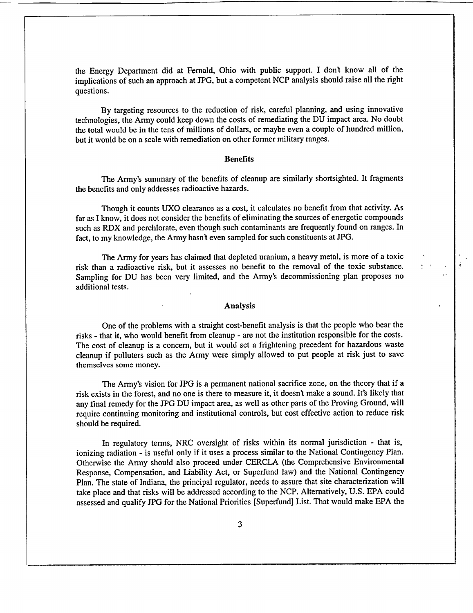the Energy Department did at Femald, Ohio with public support. I don't know all of the implications of such an approach at JPG, but a competent NCP analysis should raise all the right questions.

By targeting resources to the reduction of risk, careful planning, and using innovative technologies, the Army could keep down the costs of remediating the DU impact area. No doubt the total would be in the tens of millions of dollars, or maybe even a couple of hundred million, but it would be on a scale with remediation on other former military ranges.

## **Benefits**

The Army's summary of the benefits of cleanup are similarly shortsighted. It fragments the benefits and only addresses radioactive hazards.

Though it counts UXO clearance as a cost, it calculates no benefit from that activity. As far as I know, it does not consider the benefits of eliminating the sources of energetic compounds such as RDX and perchlorate, even though such contaminants are frequently found on ranges. In fact, to my knowledge, the Army hasn't even sampled for such constituents at JPG.

The Army for years has claimed that depleted uranium, a heavy metal, is more of a toxic risk than a radioactive risk, but it assesses no benefit to the removal of the toxic substance. Sampling for DU has been very limited, and the Army's decommissioning plan proposes no additional tests.

## Analysis

One of the problems with a straight cost-benefit analysis is that the people who bear the risks - that it, who would benefit from cleanup - are not the institution responsible for the costs. The cost of cleanup is a concern, but it would set a frightening precedent for hazardous waste cleanup if polluters such as the Army were simply allowed to put people at risk just to save themselves some money.

The Army's vision for JPG is a permanent national sacrifice zone, on the theory that if a risk exists in the forest, and no one is there to measure it, it doesn't make a sound. It's likely that any final remedy for the JPG DU impact area, as well as other parts of the Proving Ground, will require continuing monitoring and institutional controls, but cost effective action to reduce risk should be required.

In regulatory terms, NRC oversight of risks within its normal jurisdiction - that is, ionizing radiation - is useful only if it uses a process similar to the National Contingency Plan. Otherwise the Army should also proceed under CERCLA (the Comprehensive Environmental Response, Compensation, and Liability Act, or Superfund law) and the National Contingency Plan. The state of Indiana, the principal regulator, needs to assure that site characterization will take place and that risks will be addressed according to the NCP. Alternatively, U.S. EPA could assessed and qualify JPG for the National Priorities [Superfund] List. That would make EPA the